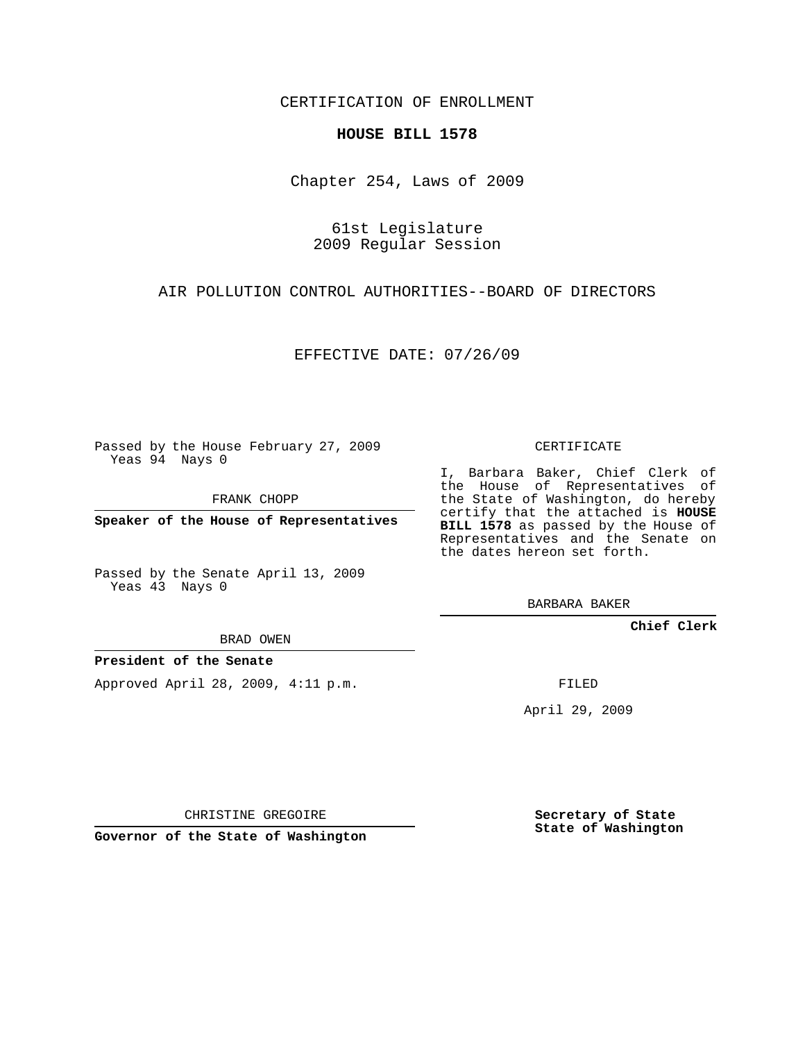## CERTIFICATION OF ENROLLMENT

### **HOUSE BILL 1578**

Chapter 254, Laws of 2009

## 61st Legislature 2009 Regular Session

AIR POLLUTION CONTROL AUTHORITIES--BOARD OF DIRECTORS

EFFECTIVE DATE: 07/26/09

Passed by the House February 27, 2009 Yeas 94 Nays 0

FRANK CHOPP

**Speaker of the House of Representatives**

Passed by the Senate April 13, 2009 Yeas 43 Nays 0

I, Barbara Baker, Chief Clerk of the House of Representatives of the State of Washington, do hereby certify that the attached is **HOUSE BILL 1578** as passed by the House of Representatives and the Senate on the dates hereon set forth.

CERTIFICATE

BARBARA BAKER

**Chief Clerk**

BRAD OWEN

### **President of the Senate**

Approved April 28, 2009, 4:11 p.m.

FILED

April 29, 2009

CHRISTINE GREGOIRE

**Governor of the State of Washington**

**Secretary of State State of Washington**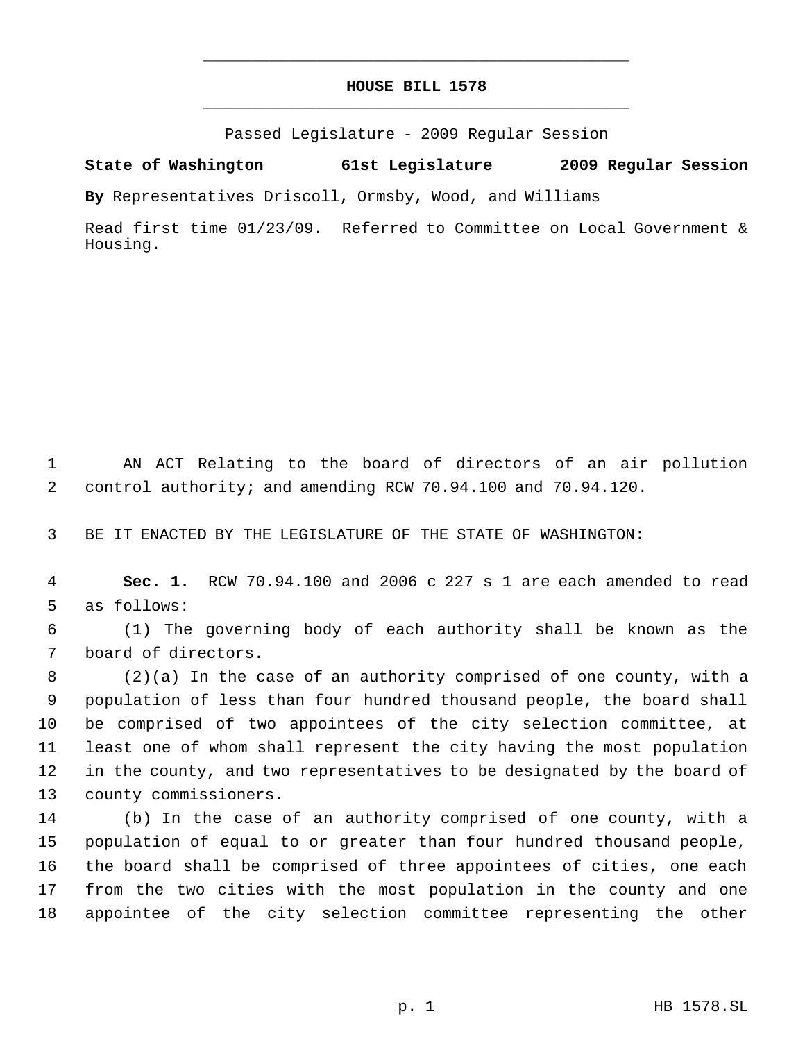## **HOUSE BILL 1578** \_\_\_\_\_\_\_\_\_\_\_\_\_\_\_\_\_\_\_\_\_\_\_\_\_\_\_\_\_\_\_\_\_\_\_\_\_\_\_\_\_\_\_\_\_

\_\_\_\_\_\_\_\_\_\_\_\_\_\_\_\_\_\_\_\_\_\_\_\_\_\_\_\_\_\_\_\_\_\_\_\_\_\_\_\_\_\_\_\_\_

Passed Legislature - 2009 Regular Session

**State of Washington 61st Legislature 2009 Regular Session**

**By** Representatives Driscoll, Ormsby, Wood, and Williams

Read first time 01/23/09. Referred to Committee on Local Government & Housing.

 AN ACT Relating to the board of directors of an air pollution control authority; and amending RCW 70.94.100 and 70.94.120.

BE IT ENACTED BY THE LEGISLATURE OF THE STATE OF WASHINGTON:

 **Sec. 1.** RCW 70.94.100 and 2006 c 227 s 1 are each amended to read as follows:

 (1) The governing body of each authority shall be known as the board of directors.

 (2)(a) In the case of an authority comprised of one county, with a population of less than four hundred thousand people, the board shall be comprised of two appointees of the city selection committee, at least one of whom shall represent the city having the most population in the county, and two representatives to be designated by the board of county commissioners.

 (b) In the case of an authority comprised of one county, with a population of equal to or greater than four hundred thousand people, the board shall be comprised of three appointees of cities, one each from the two cities with the most population in the county and one appointee of the city selection committee representing the other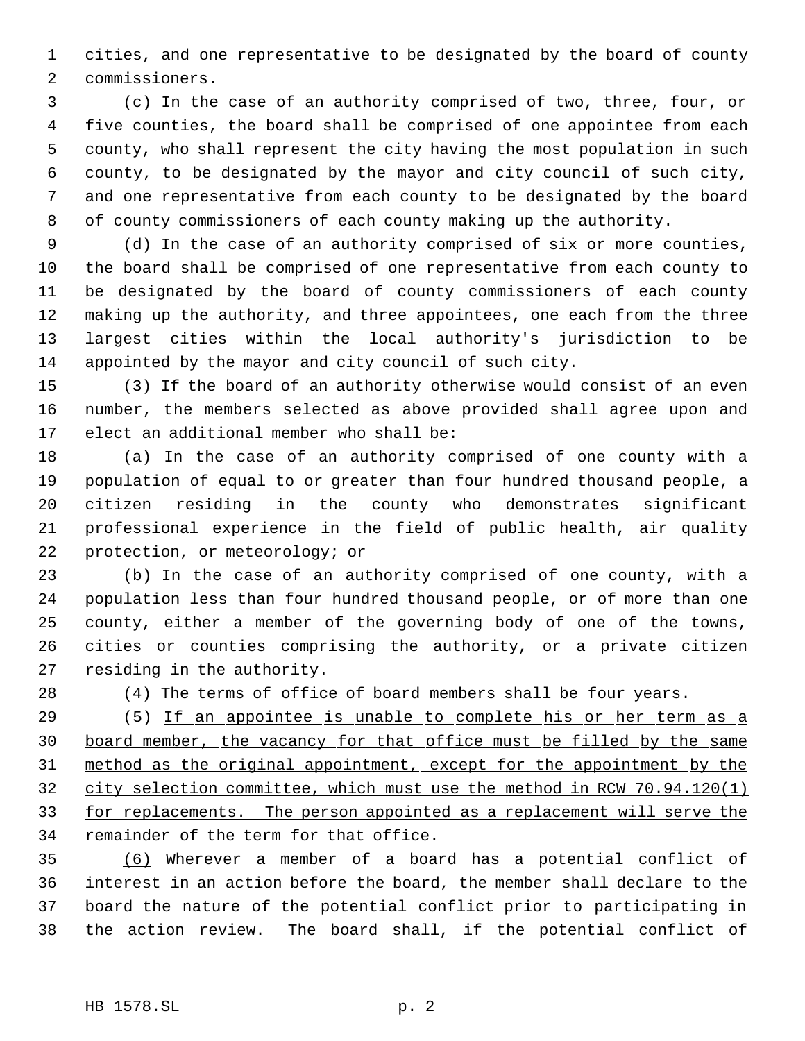cities, and one representative to be designated by the board of county commissioners.

 (c) In the case of an authority comprised of two, three, four, or five counties, the board shall be comprised of one appointee from each county, who shall represent the city having the most population in such county, to be designated by the mayor and city council of such city, and one representative from each county to be designated by the board of county commissioners of each county making up the authority.

 (d) In the case of an authority comprised of six or more counties, the board shall be comprised of one representative from each county to be designated by the board of county commissioners of each county making up the authority, and three appointees, one each from the three largest cities within the local authority's jurisdiction to be appointed by the mayor and city council of such city.

 (3) If the board of an authority otherwise would consist of an even number, the members selected as above provided shall agree upon and elect an additional member who shall be:

 (a) In the case of an authority comprised of one county with a population of equal to or greater than four hundred thousand people, a citizen residing in the county who demonstrates significant professional experience in the field of public health, air quality protection, or meteorology; or

 (b) In the case of an authority comprised of one county, with a population less than four hundred thousand people, or of more than one county, either a member of the governing body of one of the towns, cities or counties comprising the authority, or a private citizen residing in the authority.

(4) The terms of office of board members shall be four years.

 (5) If an appointee is unable to complete his or her term as a board member, the vacancy for that office must be filled by the same method as the original appointment, except for the appointment by the city selection committee, which must use the method in RCW 70.94.120(1) 33 for replacements. The person appointed as a replacement will serve the 34 remainder of the term for that office.

 (6) Wherever a member of a board has a potential conflict of interest in an action before the board, the member shall declare to the board the nature of the potential conflict prior to participating in the action review. The board shall, if the potential conflict of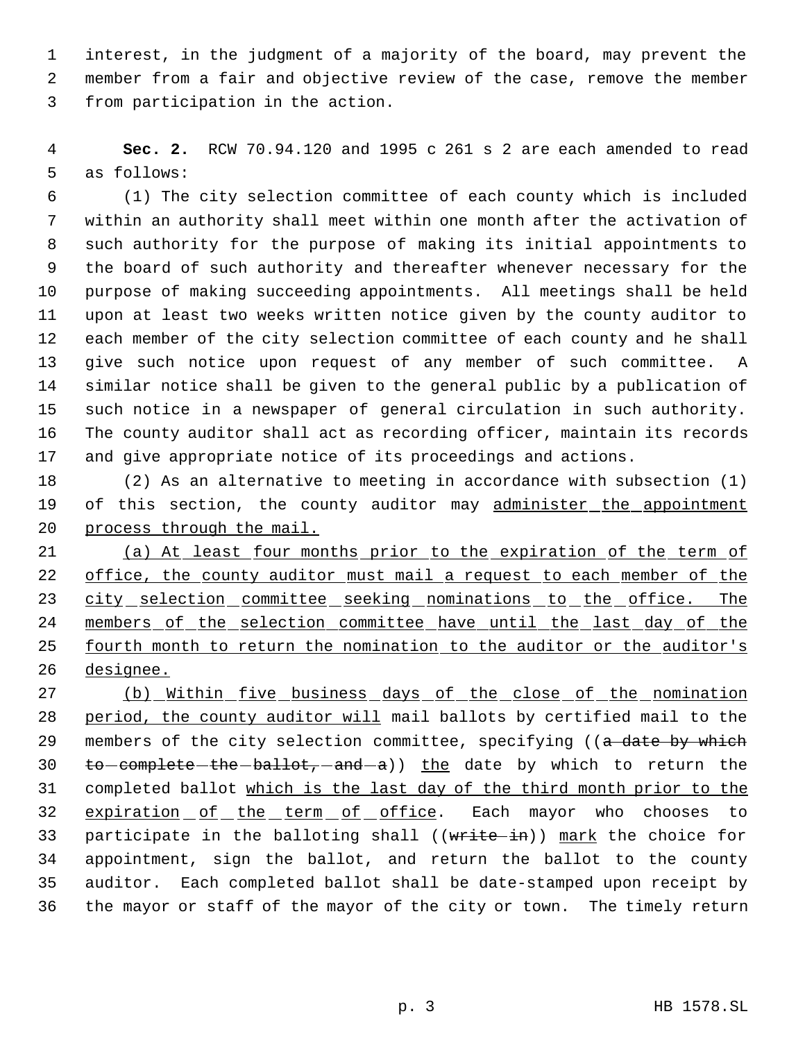interest, in the judgment of a majority of the board, may prevent the member from a fair and objective review of the case, remove the member from participation in the action.

 **Sec. 2.** RCW 70.94.120 and 1995 c 261 s 2 are each amended to read as follows:

 (1) The city selection committee of each county which is included within an authority shall meet within one month after the activation of such authority for the purpose of making its initial appointments to the board of such authority and thereafter whenever necessary for the purpose of making succeeding appointments. All meetings shall be held upon at least two weeks written notice given by the county auditor to each member of the city selection committee of each county and he shall give such notice upon request of any member of such committee. A similar notice shall be given to the general public by a publication of such notice in a newspaper of general circulation in such authority. The county auditor shall act as recording officer, maintain its records and give appropriate notice of its proceedings and actions.

 (2) As an alternative to meeting in accordance with subsection (1) 19 of this section, the county auditor may administer the appointment process through the mail.

 (a) At least four months prior to the expiration of the term of 22 office, the county auditor must mail a request to each member of the 23 city selection committee seeking nominations to the office. The members of the selection committee have until the last day of the 25 fourth month to return the nomination to the auditor or the auditor's designee.

27 (b) Within five business days of the close of the nomination period, the county auditor will mail ballots by certified mail to the 29 members of the city selection committee, specifying ((a date by which 30  $\text{to}-\text{complete}-\text{the}-\text{ball}+\text{ot}-\text{and}-\text{a}$ ) the date by which to return the completed ballot which is the last day of the third month prior to the 32 expiration of the term of office. Each mayor who chooses to 33 participate in the balloting shall ((write-in)) mark the choice for appointment, sign the ballot, and return the ballot to the county auditor. Each completed ballot shall be date-stamped upon receipt by the mayor or staff of the mayor of the city or town. The timely return